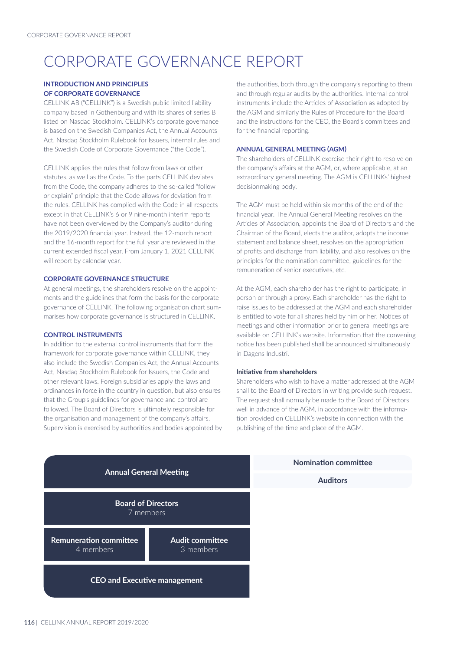# CORPORATE GOVERNANCE REPORT

# **INTRODUCTION AND PRINCIPLES OF CORPORATE GOVERNANCE**

CELLINK AB ("CELLINK") is a Swedish public limited liability company based in Gothenburg and with its shares of series B listed on Nasdaq Stockholm. CELLINK's corporate governance is based on the Swedish Companies Act, the Annual Accounts Act, Nasdaq Stockholm Rulebook for Issuers, internal rules and the Swedish Code of Corporate Governance ("the Code").

CELLINK applies the rules that follow from laws or other statutes, as well as the Code. To the parts CELLINK deviates from the Code, the company adheres to the so-called "follow or explain" principle that the Code allows for deviation from the rules. CELLINK has complied with the Code in all respects except in that CELLINK's 6 or 9 nine-month interim reports have not been overviewed by the Company's auditor during the 2019/2020 financial year. Instead, the 12-month report and the 16-month report for the full year are reviewed in the current extended fiscal year. From January 1, 2021 CELLINK will report by calendar year.

## **CORPORATE GOVERNANCE STRUCTURE**

At general meetings, the shareholders resolve on the appointments and the guidelines that form the basis for the corporate governance of CELLINK. The following organisation chart summarises how corporate governance is structured in CELLINK.

# **CONTROL INSTRUMENTS**

In addition to the external control instruments that form the framework for corporate governance within CELLINK, they also include the Swedish Companies Act, the Annual Accounts Act, Nasdaq Stockholm Rulebook for Issuers, the Code and other relevant laws. Foreign subsidiaries apply the laws and ordinances in force in the country in question, but also ensures that the Group's guidelines for governance and control are followed. The Board of Directors is ultimately responsible for the organisation and management of the company's affairs. Supervision is exercised by authorities and bodies appointed by

the authorities, both through the company's reporting to them and through regular audits by the authorities. Internal control instruments include the Articles of Association as adopted by the AGM and similarly the Rules of Procedure for the Board and the instructions for the CEO, the Board's committees and for the financial reporting.

#### **ANNUAL GENERAL MEETING (AGM)**

The shareholders of CELLINK exercise their right to resolve on the company's affairs at the AGM, or, where applicable, at an extraordinary general meeting. The AGM is CELLINKs' highest decisionmaking body.

The AGM must be held within six months of the end of the financial year. The Annual General Meeting resolves on the Articles of Association, appoints the Board of Directors and the Chairman of the Board, elects the auditor, adopts the income statement and balance sheet, resolves on the appropriation of profits and discharge from liability, and also resolves on the principles for the nomination committee, guidelines for the remuneration of senior executives, etc.

At the AGM, each shareholder has the right to participate, in person or through a proxy. Each shareholder has the right to raise issues to be addressed at the AGM and each shareholder is entitled to vote for all shares held by him or her. Notices of meetings and other information prior to general meetings are available on CELLINK's website. Information that the convening notice has been published shall be announced simultaneously in Dagens Industri.

# **Initiative from shareholders**

Shareholders who wish to have a matter addressed at the AGM shall to the Board of Directors in writing provide such request. The request shall normally be made to the Board of Directors well in advance of the AGM, in accordance with the information provided on CELLINK's website in connection with the publishing of the time and place of the AGM.



**Nomination committee Auditors**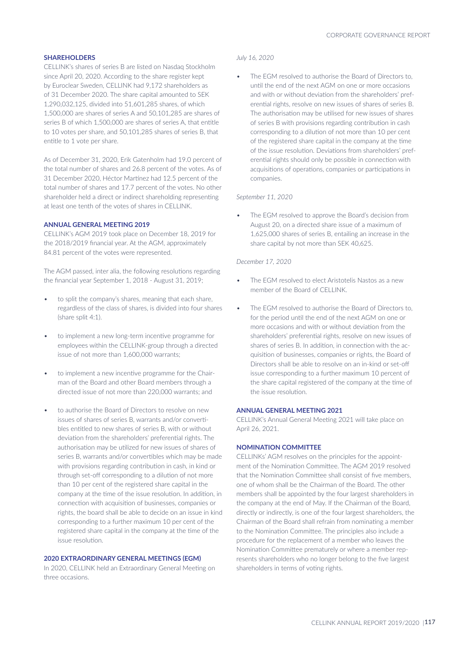## **SHAREHOLDERS**

CELLINK's shares of series B are listed on Nasdaq Stockholm since April 20, 2020. According to the share register kept by Euroclear Sweden, CELLINK had 9,172 shareholders as of 31 December 2020. The share capital amounted to SEK 1,290,032,125, divided into 51,601,285 shares, of which 1,500,000 are shares of series A and 50,101,285 are shares of series B of which 1,500,000 are shares of series A, that entitle to 10 votes per share, and 50,101,285 shares of series B, that entitle to 1 vote per share.

As of December 31, 2020, Erik Gatenholm had 19.0 percent of the total number of shares and 26.8 percent of the votes. As of 31 December 2020, Héctor Martínez had 12.5 percent of the total number of shares and 17.7 percent of the votes. No other shareholder held a direct or indirect shareholding representing at least one tenth of the votes of shares in CELLINK.

# **ANNUAL GENERAL MEETING 2019**

CELLINK's AGM 2019 took place on December 18, 2019 for the 2018/2019 financial year. At the AGM, approximately 84.81 percent of the votes were represented.

The AGM passed, inter alia, the following resolutions regarding the financial year September 1, 2018 - August 31, 2019;

- to split the company's shares, meaning that each share, regardless of the class of shares, is divided into four shares (share split 4:1).
- to implement a new long-term incentive programme for employees within the CELLINK-group through a directed issue of not more than 1,600,000 warrants;
- to implement a new incentive programme for the Chairman of the Board and other Board members through a directed issue of not more than 220,000 warrants; and
- to authorise the Board of Directors to resolve on new issues of shares of series B, warrants and/or convertibles entitled to new shares of series B, with or without deviation from the shareholders' preferential rights. The authorisation may be utilized for new issues of shares of series B, warrants and/or convertibles which may be made with provisions regarding contribution in cash, in kind or through set-off corresponding to a dilution of not more than 10 per cent of the registered share capital in the company at the time of the issue resolution. In addition, in connection with acquisition of businesses, companies or rights, the board shall be able to decide on an issue in kind corresponding to a further maximum 10 per cent of the registered share capital in the company at the time of the issue resolution.

## **2020 EXTRAORDINARY GENERAL MEETINGS (EGM)**

In 2020, CELLINK held an Extraordinary General Meeting on three occasions.

#### *July 16, 2020*

The EGM resolved to authorise the Board of Directors to. until the end of the next AGM on one or more occasions and with or without deviation from the shareholders' preferential rights, resolve on new issues of shares of series B. The authorisation may be utilised for new issues of shares of series B with provisions regarding contribution in cash corresponding to a dilution of not more than 10 per cent of the registered share capital in the company at the time of the issue resolution. Deviations from shareholders' preferential rights should only be possible in connection with acquisitions of operations, companies or participations in companies.

#### *September 11, 2020*

The EGM resolved to approve the Board's decision from August 20, on a directed share issue of a maximum of 1,625,000 shares of series B, entailing an increase in the share capital by not more than SEK 40,625.

#### *December 17, 2020*

- The EGM resolved to elect Aristotelis Nastos as a new member of the Board of CELLINK.
- The EGM resolved to authorise the Board of Directors to, for the period until the end of the next AGM on one or more occasions and with or without deviation from the shareholders' preferential rights, resolve on new issues of shares of series B. In addition, in connection with the acquisition of businesses, companies or rights, the Board of Directors shall be able to resolve on an in-kind or set-off issue corresponding to a further maximum 10 percent of the share capital registered of the company at the time of the issue resolution.

# **ANNUAL GENERAL MEETING 2021**

CELLINK's Annual General Meeting 2021 will take place on April 26, 2021.

## **NOMINATION COMMITTEE**

CELLINKs' AGM resolves on the principles for the appointment of the Nomination Committee. The AGM 2019 resolved that the Nomination Committee shall consist of five members, one of whom shall be the Chairman of the Board. The other members shall be appointed by the four largest shareholders in the company at the end of May. If the Chairman of the Board, directly or indirectly, is one of the four largest shareholders, the Chairman of the Board shall refrain from nominating a member to the Nomination Committee. The principles also include a procedure for the replacement of a member who leaves the Nomination Committee prematurely or where a member represents shareholders who no longer belong to the five largest shareholders in terms of voting rights.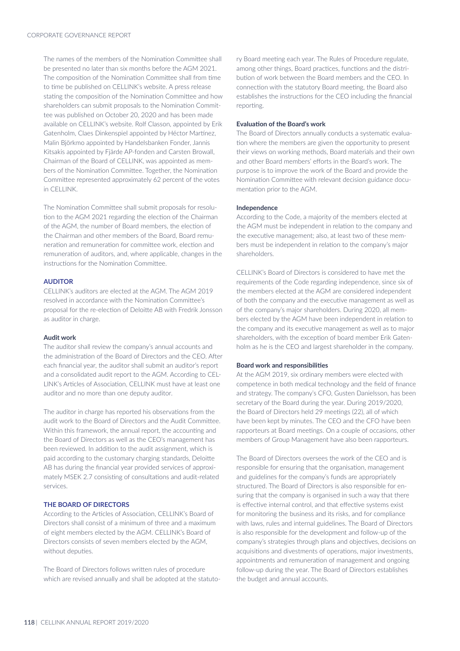The names of the members of the Nomination Committee shall be presented no later than six months before the AGM 2021. The composition of the Nomination Committee shall from time to time be published on CELLINK's website. A press release stating the composition of the Nomination Committee and how shareholders can submit proposals to the Nomination Committee was published on October 20, 2020 and has been made available on CELLINK's website. Rolf Classon, appointed by Erik Gatenholm, Claes Dinkenspiel appointed by Héctor Martínez, Malin Björkmo appointed by Handelsbanken Fonder, Jannis Kitsakis appointed by Fjärde AP-fonden and Carsten Browall, Chairman of the Board of CELLINK, was appointed as members of the Nomination Committee. Together, the Nomination Committee represented approximately 62 percent of the votes in CELLINK.

The Nomination Committee shall submit proposals for resolution to the AGM 2021 regarding the election of the Chairman of the AGM, the number of Board members, the election of the Chairman and other members of the Board, Board remuneration and remuneration for committee work, election and remuneration of auditors, and, where applicable, changes in the instructions for the Nomination Committee.

#### **AUDITOR**

CELLINK's auditors are elected at the AGM. The AGM 2019 resolved in accordance with the Nomination Committee's proposal for the re-election of Deloitte AB with Fredrik Jonsson as auditor in charge.

# **Audit work**

The auditor shall review the company's annual accounts and the administration of the Board of Directors and the CEO. After each financial year, the auditor shall submit an auditor's report and a consolidated audit report to the AGM. According to CEL-LINK's Articles of Association, CELLINK must have at least one auditor and no more than one deputy auditor.

The auditor in charge has reported his observations from the audit work to the Board of Directors and the Audit Committee. Within this framework, the annual report, the accounting and the Board of Directors as well as the CEO's management has been reviewed. In addition to the audit assignment, which is paid according to the customary charging standards, Deloitte AB has during the financial year provided services of approximately MSEK 2.7 consisting of consultations and audit-related services.

#### **THE BOARD OF DIRECTORS**

According to the Articles of Association, CELLINK's Board of Directors shall consist of a minimum of three and a maximum of eight members elected by the AGM. CELLINK's Board of Directors consists of seven members elected by the AGM, without deputies.

The Board of Directors follows written rules of procedure which are revised annually and shall be adopted at the statutory Board meeting each year. The Rules of Procedure regulate, among other things, Board practices, functions and the distribution of work between the Board members and the CEO. In connection with the statutory Board meeting, the Board also establishes the instructions for the CEO including the financial reporting.

#### **Evaluation of the Board's work**

The Board of Directors annually conducts a systematic evaluation where the members are given the opportunity to present their views on working methods, Board materials and their own and other Board members' efforts in the Board's work. The purpose is to improve the work of the Board and provide the Nomination Committee with relevant decision guidance documentation prior to the AGM.

#### **Independence**

According to the Code, a majority of the members elected at the AGM must be independent in relation to the company and the executive management; also, at least two of these members must be independent in relation to the company's major shareholders.

CELLINK's Board of Directors is considered to have met the requirements of the Code regarding independence, since six of the members elected at the AGM are considered independent of both the company and the executive management as well as of the company's major shareholders. During 2020, all members elected by the AGM have been independent in relation to the company and its executive management as well as to major shareholders, with the exception of board member Erik Gatenholm as he is the CEO and largest shareholder in the company.

## **Board work and responsibilities**

At the AGM 2019, six ordinary members were elected with competence in both medical technology and the field of finance and strategy. The company's CFO, Gusten Danielsson, has been secretary of the Board during the year. During 2019/2020, the Board of Directors held 29 meetings (22), all of which have been kept by minutes. The CEO and the CFO have been rapporteurs at Board meetings. On a couple of occasions, other members of Group Management have also been rapporteurs.

The Board of Directors oversees the work of the CEO and is responsible for ensuring that the organisation, management and guidelines for the company's funds are appropriately structured. The Board of Directors is also responsible for ensuring that the company is organised in such a way that there is effective internal control, and that effective systems exist for monitoring the business and its risks, and for compliance with laws, rules and internal guidelines. The Board of Directors is also responsible for the development and follow-up of the company's strategies through plans and objectives, decisions on acquisitions and divestments of operations, major investments, appointments and remuneration of management and ongoing follow-up during the year. The Board of Directors establishes the budget and annual accounts.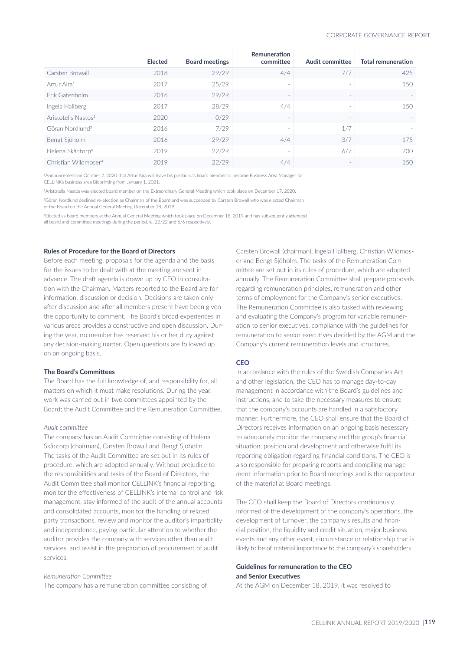|                                  | <b>Elected</b> | <b>Board meetings</b> | Remuneration<br>committee | Audit committee | <b>Total remuneration</b> |
|----------------------------------|----------------|-----------------------|---------------------------|-----------------|---------------------------|
| Carsten Browall                  | 2018           | 29/29                 | 4/4                       | 7/7             | 425                       |
| Artur Aira <sup>1</sup>          | 2017           | 25/29                 | $\sim$                    |                 | 150                       |
| Frik Gatenholm                   | 2016           | 29/29                 |                           |                 |                           |
| Ingela Hallberg                  | 2017           | 28/29                 | 4/4                       |                 | 150                       |
| Aristotelis Nastos <sup>2</sup>  | 2020           | 0/29                  |                           |                 | $\sim$                    |
| Göran Nordlund <sup>3</sup>      | 2016           | 7/29                  | $\overline{\phantom{a}}$  | 1/7             |                           |
| Bengt Sjöholm                    | 2016           | 29/29                 | 4/4                       | 3/7             | 175                       |
| Helena Skåntorp <sup>4</sup>     | 2019           | 22/29                 | <b>.</b>                  | 6/7             | 200                       |
| Christian Wildmoser <sup>4</sup> | 2019           | 22/29                 | 4/4                       |                 | 150                       |

1Announcement on October 2, 2020 that Artur Aira will leave his position as board member to become Business Area Manager for CELLINKs business area Bioprinting from January 1, 2021.

2Aristotelis Nastos was elected board member on the Extraordinary General Meeting which took place on December 17, 2020.

3Göran Nordlund declined re-election as Chairman of the Board and was succeeded by Carsten Browall who was elected Chairman of the Board on the Annual General Meeting December 18, 2019.

4Elected as board members at the Annual General Meeting which took place on December 18, 2019 and has subsequently attended all board and committee meetings during the period, ie. 22/22 and 6/6 respectively.

#### **Rules of Procedure for the Board of Directors**

Before each meeting, proposals for the agenda and the basis for the issues to be dealt with at the meeting are sent in advance. The draft agenda is drawn up by CEO in consultation with the Chairman. Matters reported to the Board are for information, discussion or decision. Decisions are taken only after discussion and after all members present have been given the opportunity to comment. The Board's broad experiences in various areas provides a constructive and open discussion. During the year, no member has reserved his or her duty against any decision-making matter. Open questions are followed up on an ongoing basis.

## **The Board's Committees**

The Board has the full knowledge of, and responsibility for, all matters on which it must make resolutions. During the year, work was carried out in two committees appointed by the Board; the Audit Committee and the Remuneration Committee.

## *Audit committee*

The company has an Audit Committee consisting of Helena Skåntorp (chairman), Carsten Browall and Bengt Sjöholm. The tasks of the Audit Committee are set out in its rules of procedure, which are adopted annually. Without prejudice to the responsibilities and tasks of the Board of Directors, the Audit Committee shall monitor CELLINK's financial reporting, monitor the effectiveness of CELLINK's internal control and risk management, stay informed of the audit of the annual accounts and consolidated accounts, monitor the handling of related party transactions, review and monitor the auditor's impartiality and independence, paying particular attention to whether the auditor provides the company with services other than audit services, and assist in the preparation of procurement of audit services.

#### *Remuneration Committee*

The company has a remuneration committee consisting of

Carsten Browall (chairman), Ingela Hallberg, Christian Wildmoser and Bengt Sjöholm. The tasks of the Remuneration Committee are set out in its rules of procedure, which are adopted annually. The Remuneration Committee shall prepare proposals regarding remuneration principles, remuneration and other terms of employment for the Company's senior executives. The Remuneration Committee is also tasked with reviewing and evaluating the Company's program for variable remuneration to senior executives, compliance with the guidelines for remuneration to senior executives decided by the AGM and the Company's current remuneration levels and structures.

#### **CEO**

In accordance with the rules of the Swedish Companies Act and other legislation, the CEO has to manage day-to-day management in accordance with the Board's guidelines and instructions, and to take the necessary measures to ensure that the company's accounts are handled in a satisfactory manner. Furthermore, the CEO shall ensure that the Board of Directors receives information on an ongoing basis necessary to adequately monitor the company and the group's financial situation, position and development and otherwise fulfil its reporting obligation regarding financial conditions. The CEO is also responsible for preparing reports and compiling management information prior to Board meetings and is the rapporteur of the material at Board meetings.

The CEO shall keep the Board of Directors continuously informed of the development of the company's operations, the development of turnover, the company's results and financial position, the liquidity and credit situation, major business events and any other event, circumstance or relationship that is likely to be of material importance to the company's shareholders.

## **Guidelines for remuneration to the CEO and Senior Executives**

At the AGM on December 18, 2019, it was resolved to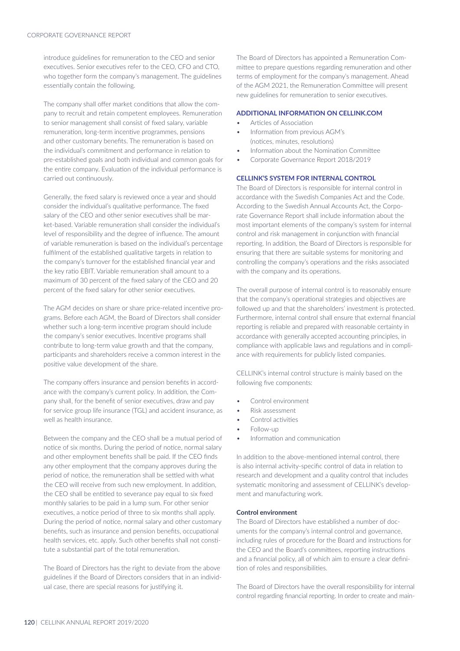introduce guidelines for remuneration to the CEO and senior executives. Senior executives refer to the CEO, CFO and CTO, who together form the company's management. The guidelines essentially contain the following.

The company shall offer market conditions that allow the company to recruit and retain competent employees. Remuneration to senior management shall consist of fixed salary, variable remuneration, long-term incentive programmes, pensions and other customary benefits. The remuneration is based on the individual's commitment and performance in relation to pre-established goals and both individual and common goals for the entire company. Evaluation of the individual performance is carried out continuously.

Generally, the fixed salary is reviewed once a year and should consider the individual's qualitative performance. The fixed salary of the CEO and other senior executives shall be market-based. Variable remuneration shall consider the individual's level of responsibility and the degree of influence. The amount of variable remuneration is based on the individual's percentage fulfilment of the established qualitative targets in relation to the company's turnover for the established financial year and the key ratio EBIT. Variable remuneration shall amount to a maximum of 30 percent of the fixed salary of the CEO and 20 percent of the fixed salary for other senior executives.

The AGM decides on share or share price-related incentive programs. Before each AGM, the Board of Directors shall consider whether such a long-term incentive program should include the company's senior executives. Incentive programs shall contribute to long-term value growth and that the company, participants and shareholders receive a common interest in the positive value development of the share.

The company offers insurance and pension benefits in accordance with the company's current policy. In addition, the Company shall, for the benefit of senior executives, draw and pay for service group life insurance (TGL) and accident insurance, as well as health insurance.

Between the company and the CEO shall be a mutual period of notice of six months. During the period of notice, normal salary and other employment benefits shall be paid. If the CEO finds any other employment that the company approves during the period of notice, the remuneration shall be settled with what the CEO will receive from such new employment. In addition, the CEO shall be entitled to severance pay equal to six fixed monthly salaries to be paid in a lump sum. For other senior executives, a notice period of three to six months shall apply. During the period of notice, normal salary and other customary benefits, such as insurance and pension benefits, occupational health services, etc. apply. Such other benefits shall not constitute a substantial part of the total remuneration.

The Board of Directors has the right to deviate from the above guidelines if the Board of Directors considers that in an individual case, there are special reasons for justifying it.

The Board of Directors has appointed a Remuneration Committee to prepare questions regarding remuneration and other terms of employment for the company's management. Ahead of the AGM 2021, the Remuneration Committee will present new guidelines for remuneration to senior executives.

# **ADDITIONAL INFORMATION ON CELLINK.COM**

- Articles of Association
- Information from previous AGM's (notices, minutes, resolutions)
- Information about the Nomination Committee
- Corporate Governance Report 2018/2019

## **CELLINK'S SYSTEM FOR INTERNAL CONTROL**

The Board of Directors is responsible for internal control in accordance with the Swedish Companies Act and the Code. According to the Swedish Annual Accounts Act, the Corporate Governance Report shall include information about the most important elements of the company's system for internal control and risk management in conjunction with financial reporting. In addition, the Board of Directors is responsible for ensuring that there are suitable systems for monitoring and controlling the company's operations and the risks associated with the company and its operations.

The overall purpose of internal control is to reasonably ensure that the company's operational strategies and objectives are followed up and that the shareholders' investment is protected. Furthermore, internal control shall ensure that external financial reporting is reliable and prepared with reasonable certainty in accordance with generally accepted accounting principles, in compliance with applicable laws and regulations and in compliance with requirements for publicly listed companies.

CELLINK's internal control structure is mainly based on the following five components:

- Control environment
- Risk assessment
- Control activities
- Follow-up
- Information and communication

In addition to the above-mentioned internal control, there is also internal activity-specific control of data in relation to research and development and a quality control that includes systematic monitoring and assessment of CELLINK's development and manufacturing work.

#### **Control environment**

The Board of Directors have established a number of documents for the company's internal control and governance, including rules of procedure for the Board and instructions for the CEO and the Board's committees, reporting instructions and a financial policy, all of which aim to ensure a clear definition of roles and responsibilities.

The Board of Directors have the overall responsibility for internal control regarding financial reporting. In order to create and main